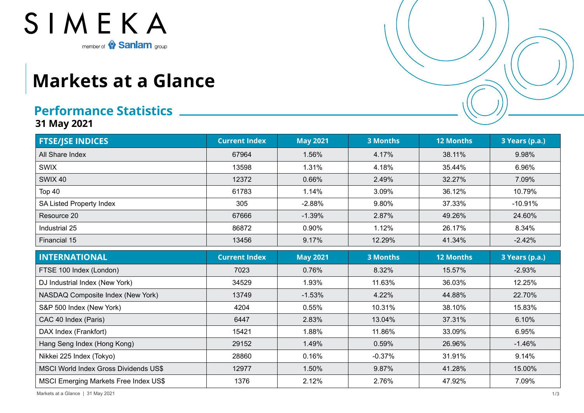

## **Markets at a Glance**

## **Performance Statistics**

**31 May 2021**

| <b>FTSE/JSE INDICES</b>                      | <b>Current Index</b> | <b>May 2021</b> | <b>3 Months</b> | <b>12 Months</b> | 3 Years (p.a.) |
|----------------------------------------------|----------------------|-----------------|-----------------|------------------|----------------|
| All Share Index                              | 67964                | 1.56%           | 4.17%           | 38.11%           | 9.98%          |
| <b>SWIX</b>                                  | 13598                | 1.31%           | 4.18%           | 35.44%           | 6.96%          |
| <b>SWIX 40</b>                               | 12372                | 0.66%           | 2.49%           | 32.27%           | 7.09%          |
| Top 40                                       | 61783                | 1.14%           | 3.09%           | 36.12%           | 10.79%         |
| SA Listed Property Index                     | 305                  | $-2.88%$        | 9.80%           | 37.33%           | $-10.91%$      |
| Resource 20                                  | 67666                | $-1.39%$        | 2.87%           | 49.26%           | 24.60%         |
| Industrial 25                                | 86872                | 0.90%           | 1.12%           | 26.17%           | 8.34%          |
| Financial 15                                 | 13456                | 9.17%           | 12.29%          | 41.34%           | $-2.42%$       |
| <b>INTERNATIONAL</b>                         | <b>Current Index</b> | <b>May 2021</b> | <b>3 Months</b> | <b>12 Months</b> | 3 Years (p.a.) |
| FTSE 100 Index (London)                      | 7023                 | 0.76%           | 8.32%           | 15.57%           | $-2.93%$       |
| DJ Industrial Index (New York)               | 34529                | 1.93%           | 11.63%          | 36.03%           | 12.25%         |
| NASDAQ Composite Index (New York)            | 13749                | $-1.53%$        | 4.22%           | 44.88%           | 22.70%         |
| S&P 500 Index (New York)                     | 4204                 | 0.55%           | 10.31%          | 38.10%           | 15.83%         |
| CAC 40 Index (Paris)                         | 6447                 | 2.83%           | 13.04%          | 37.31%           | 6.10%          |
| DAX Index (Frankfort)                        | 15421                | 1.88%           | 11.86%          | 33.09%           | 6.95%          |
| Hang Seng Index (Hong Kong)                  | 29152                | 1.49%           | 0.59%           | 26.96%           | $-1.46%$       |
| Nikkei 225 Index (Tokyo)                     | 28860                | 0.16%           | $-0.37%$        | 31.91%           | 9.14%          |
| <b>MSCI World Index Gross Dividends US\$</b> | 12977                | 1.50%           | 9.87%           | 41.28%           | 15.00%         |
| <b>MSCI Emerging Markets Free Index US\$</b> | 1376                 | 2.12%           | 2.76%           | 47.92%           | 7.09%          |

Markets at a Glance | 31 May 2021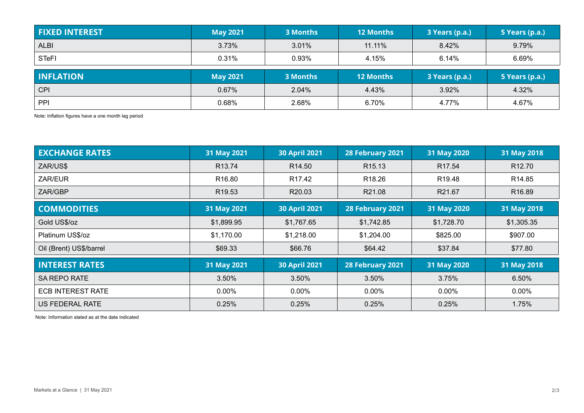| <b>FIXED INTEREST</b> | <b>May 2021</b> | 3 Months | <b>12 Months</b> | 3 Years (p.a.) | 5 Years (p.a.) |
|-----------------------|-----------------|----------|------------------|----------------|----------------|
| <b>ALBI</b>           | 3.73%           | 3.01%    | 11.11%           | 8.42%          | 9.79%          |
| <b>STeFI</b>          | 0.31%           | 0.93%    | 4.15%            | 6.14%          | 6.69%          |
| <b>INFLATION</b>      | <b>May 2021</b> | 3 Months | <b>12 Months</b> | 3 Years (p.a.) | 5 Years (p.a.) |
| <b>CPI</b>            | 0.67%           | 2.04%    | 4.43%            | 3.92%          | 4.32%          |
| PPI                   | 0.68%           | 2.68%    | 6.70%            | 4.77%          | 4.67%          |

Note: Inflation figures have a one month lag period

| <b>EXCHANGE RATES</b>    | 31 May 2021        | <b>30 April 2021</b> | 28 February 2021   | 31 May 2020        | 31 May 2018        |
|--------------------------|--------------------|----------------------|--------------------|--------------------|--------------------|
| ZAR/US\$                 | R <sub>13.74</sub> | R <sub>14.50</sub>   | R <sub>15.13</sub> | R <sub>17.54</sub> | R <sub>12.70</sub> |
| ZAR/EUR                  | R <sub>16.80</sub> | R <sub>17.42</sub>   | R <sub>18.26</sub> | R <sub>19.48</sub> | R <sub>14.85</sub> |
| ZAR/GBP                  | R <sub>19.53</sub> | R20.03               | R21.08             | R21.67             | R <sub>16.89</sub> |
| <b>COMMODITIES</b>       | 31 May 2021        | <b>30 April 2021</b> | 28 February 2021   | 31 May 2020        | 31 May 2018        |
| Gold US\$/oz             | \$1,899.95         | \$1,767.65           | \$1,742.85         | \$1,728.70         | \$1,305.35         |
| Platinum US\$/oz         | \$1,170.00         | \$1,218.00           | \$1,204.00         | \$825.00           | \$907.00           |
| Oil (Brent) US\$/barrel  | \$69.33            | \$66.76              | \$64.42            | \$37.84            | \$77.80            |
| <b>INTEREST RATES</b>    | 31 May 2021        | <b>30 April 2021</b> | 28 February 2021   | 31 May 2020        | 31 May 2018        |
| <b>SA REPO RATE</b>      | 3.50%              | 3.50%                | 3.50%<br>3.75%     |                    | 6.50%              |
| <b>ECB INTEREST RATE</b> | $0.00\%$           | $0.00\%$             | $0.00\%$           | $0.00\%$           | $0.00\%$           |
| US FEDERAL RATE          | 0.25%              | 0.25%                | 0.25%              | 0.25%              | 1.75%              |

Note: Information stated as at the date indicated